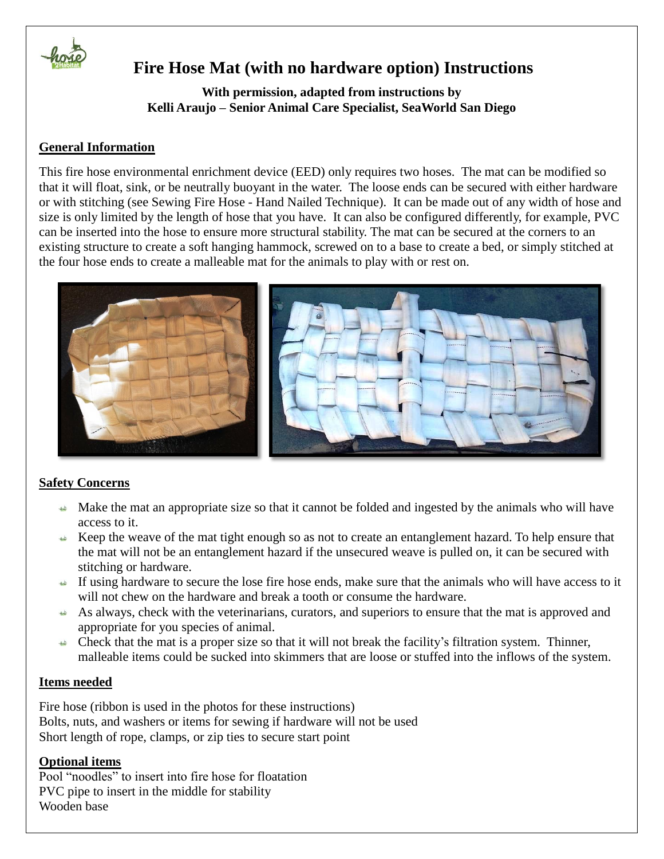

# **Fire Hose Mat (with no hardware option) Instructions**

## **With permission, adapted from instructions by Kelli Araujo – Senior Animal Care Specialist, SeaWorld San Diego**

## **General Information**

This fire hose environmental enrichment device (EED) only requires two hoses. The mat can be modified so that it will float, sink, or be neutrally buoyant in the water. The loose ends can be secured with either hardware or with stitching (see Sewing Fire Hose - Hand Nailed Technique). It can be made out of any width of hose and size is only limited by the length of hose that you have. It can also be configured differently, for example, PVC can be inserted into the hose to ensure more structural stability. The mat can be secured at the corners to an existing structure to create a soft hanging hammock, screwed on to a base to create a bed, or simply stitched at the four hose ends to create a malleable mat for the animals to play with or rest on.



## **Safety Concerns**

- $\rightarrow$  Make the mat an appropriate size so that it cannot be folded and ingested by the animals who will have access to it.
- $\leftrightarrow$  Keep the weave of the mat tight enough so as not to create an entanglement hazard. To help ensure that the mat will not be an entanglement hazard if the unsecured weave is pulled on, it can be secured with stitching or hardware.
- If using hardware to secure the lose fire hose ends, make sure that the animals who will have access to it will not chew on the hardware and break a tooth or consume the hardware.
- As always, check with the veterinarians, curators, and superiors to ensure that the mat is approved and appropriate for you species of animal.
- Check that the mat is a proper size so that it will not break the facility's filtration system. Thinner,  $\frac{1}{2}$ malleable items could be sucked into skimmers that are loose or stuffed into the inflows of the system.

#### **Items needed**

Fire hose (ribbon is used in the photos for these instructions) Bolts, nuts, and washers or items for sewing if hardware will not be used Short length of rope, clamps, or zip ties to secure start point

### **Optional items**

Pool "noodles" to insert into fire hose for floatation PVC pipe to insert in the middle for stability Wooden base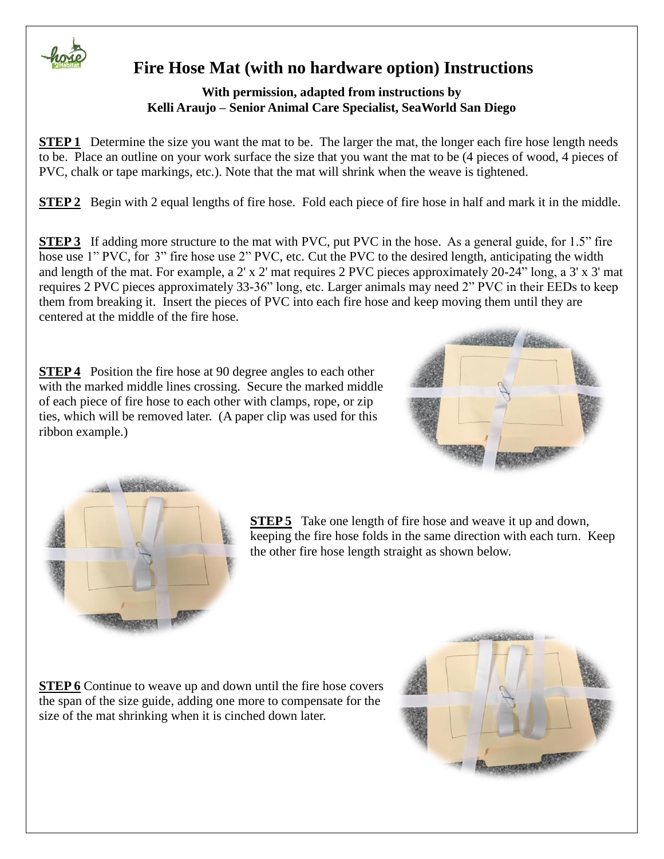

# **Fire Hose Mat (with no hardware option) Instructions**

## **With permission, adapted from instructions by Kelli Araujo – Senior Animal Care Specialist, SeaWorld San Diego**

**STEP 1** Determine the size you want the mat to be. The larger the mat, the longer each fire hose length needs to be. Place an outline on your work surface the size that you want the mat to be (4 pieces of wood, 4 pieces of PVC, chalk or tape markings, etc.). Note that the mat will shrink when the weave is tightened.

**STEP 2** Begin with 2 equal lengths of fire hose. Fold each piece of fire hose in half and mark it in the middle.

**STEP 3** If adding more structure to the mat with PVC, put PVC in the hose. As a general guide, for 1.5" fire hose use 1" PVC, for 3" fire hose use 2" PVC, etc. Cut the PVC to the desired length, anticipating the width and length of the mat. For example, a 2' x 2' mat requires 2 PVC pieces approximately 20-24" long, a 3' x 3' mat requires 2 PVC pieces approximately 33-36" long, etc. Larger animals may need 2" PVC in their EEDs to keep them from breaking it. Insert the pieces of PVC into each fire hose and keep moving them until they are centered at the middle of the fire hose.

**STEP 4** Position the fire hose at 90 degree angles to each other with the marked middle lines crossing. Secure the marked middle of each piece of fire hose to each other with clamps, rope, or zip ties, which will be removed later. (A paper clip was used for this ribbon example.)





**STEP 5** Take one length of fire hose and weave it up and down, keeping the fire hose folds in the same direction with each turn. Keep the other fire hose length straight as shown below.

**STEP 6** Continue to weave up and down until the fire hose covers the span of the size guide, adding one more to compensate for the size of the mat shrinking when it is cinched down later.